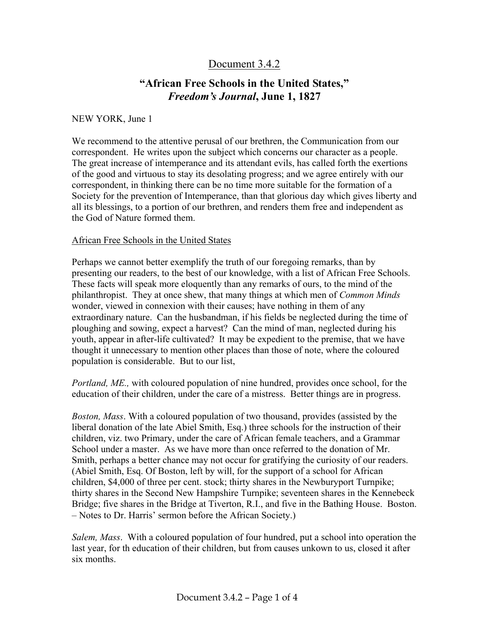## Document 3.4.2

## **"African Free Schools in the United States,"**  *Freedom's Journal***, June 1, 1827**

## NEW YORK, June 1

We recommend to the attentive perusal of our brethren, the Communication from our correspondent. He writes upon the subject which concerns our character as a people. The great increase of intemperance and its attendant evils, has called forth the exertions of the good and virtuous to stay its desolating progress; and we agree entirely with our correspondent, in thinking there can be no time more suitable for the formation of a Society for the prevention of Intemperance, than that glorious day which gives liberty and all its blessings, to a portion of our brethren, and renders them free and independent as the God of Nature formed them.

## African Free Schools in the United States

Perhaps we cannot better exemplify the truth of our foregoing remarks, than by presenting our readers, to the best of our knowledge, with a list of African Free Schools. These facts will speak more eloquently than any remarks of ours, to the mind of the philanthropist. They at once shew, that many things at which men of *Common Minds*  wonder, viewed in connexion with their causes; have nothing in them of any extraordinary nature. Can the husbandman, if his fields be neglected during the time of ploughing and sowing, expect a harvest? Can the mind of man, neglected during his youth, appear in after-life cultivated? It may be expedient to the premise, that we have thought it unnecessary to mention other places than those of note, where the coloured population is considerable. But to our list,

*Portland, ME.,* with coloured population of nine hundred, provides once school, for the education of their children, under the care of a mistress. Better things are in progress.

*Boston, Mass*. With a coloured population of two thousand, provides (assisted by the liberal donation of the late Abiel Smith, Esq.) three schools for the instruction of their children, viz. two Primary, under the care of African female teachers, and a Grammar School under a master. As we have more than once referred to the donation of Mr. Smith, perhaps a better chance may not occur for gratifying the curiosity of our readers. (Abiel Smith, Esq. Of Boston, left by will, for the support of a school for African children, \$4,000 of three per cent. stock; thirty shares in the Newburyport Turnpike; thirty shares in the Second New Hampshire Turnpike; seventeen shares in the Kennebeck Bridge; five shares in the Bridge at Tiverton, R.I., and five in the Bathing House. Boston. – Notes to Dr. Harris' sermon before the African Society.)

*Salem, Mass*. With a coloured population of four hundred, put a school into operation the last year, for th education of their children, but from causes unkown to us, closed it after six months.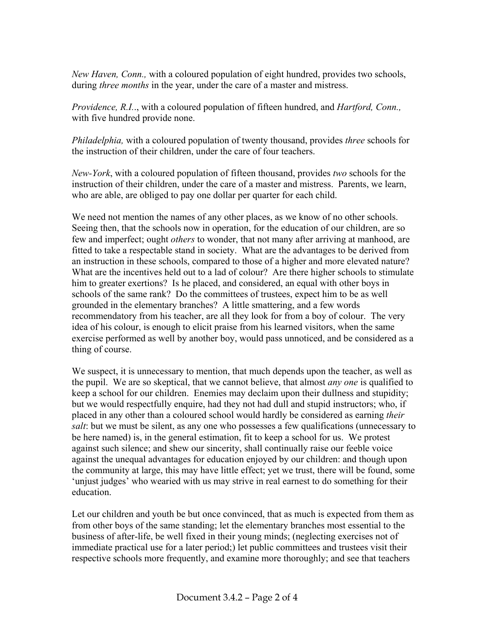*New Haven, Conn.,* with a coloured population of eight hundred, provides two schools, during *three months* in the year, under the care of a master and mistress.

*Providence, R.I.*., with a coloured population of fifteen hundred, and *Hartford, Conn.,* with five hundred provide none.

*Philadelphia,* with a coloured population of twenty thousand, provides *three* schools for the instruction of their children, under the care of four teachers.

*New-York*, with a coloured population of fifteen thousand, provides *two* schools for the instruction of their children, under the care of a master and mistress. Parents, we learn, who are able, are obliged to pay one dollar per quarter for each child.

We need not mention the names of any other places, as we know of no other schools. Seeing then, that the schools now in operation, for the education of our children, are so few and imperfect; ought *others* to wonder, that not many after arriving at manhood, are fitted to take a respectable stand in society. What are the advantages to be derived from an instruction in these schools, compared to those of a higher and more elevated nature? What are the incentives held out to a lad of colour? Are there higher schools to stimulate him to greater exertions? Is he placed, and considered, an equal with other boys in schools of the same rank? Do the committees of trustees, expect him to be as well grounded in the elementary branches? A little smattering, and a few words recommendatory from his teacher, are all they look for from a boy of colour. The very idea of his colour, is enough to elicit praise from his learned visitors, when the same exercise performed as well by another boy, would pass unnoticed, and be considered as a thing of course.

We suspect, it is unnecessary to mention, that much depends upon the teacher, as well as the pupil. We are so skeptical, that we cannot believe, that almost *any one* is qualified to keep a school for our children. Enemies may declaim upon their dullness and stupidity; but we would respectfully enquire, had they not had dull and stupid instructors; who, if placed in any other than a coloured school would hardly be considered as earning *their salt*: but we must be silent, as any one who possesses a few qualifications (unnecessary to be here named) is, in the general estimation, fit to keep a school for us. We protest against such silence; and shew our sincerity, shall continually raise our feeble voice against the unequal advantages for education enjoyed by our children: and though upon the community at large, this may have little effect; yet we trust, there will be found, some 'unjust judges' who wearied with us may strive in real earnest to do something for their education.

Let our children and youth be but once convinced, that as much is expected from them as from other boys of the same standing; let the elementary branches most essential to the business of after-life, be well fixed in their young minds; (neglecting exercises not of immediate practical use for a later period;) let public committees and trustees visit their respective schools more frequently, and examine more thoroughly; and see that teachers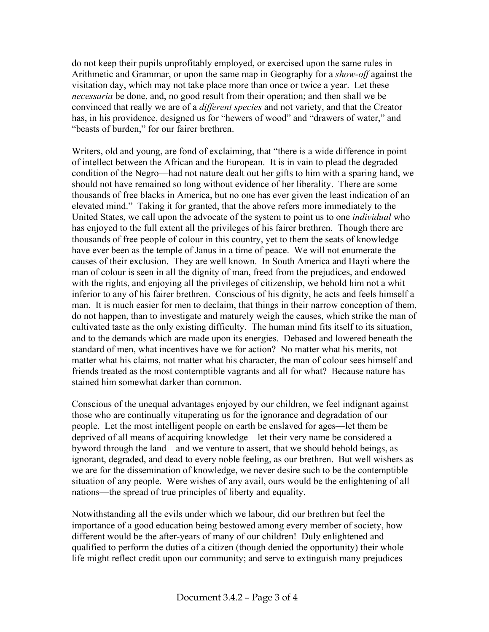do not keep their pupils unprofitably employed, or exercised upon the same rules in Arithmetic and Grammar, or upon the same map in Geography for a *show-off* against the visitation day, which may not take place more than once or twice a year. Let these *necessaria* be done, and, no good result from their operation; and then shall we be convinced that really we are of a *different species* and not variety, and that the Creator has, in his providence, designed us for "hewers of wood" and "drawers of water," and "beasts of burden," for our fairer brethren.

Writers, old and young, are fond of exclaiming, that "there is a wide difference in point of intellect between the African and the European. It is in vain to plead the degraded condition of the Negro—had not nature dealt out her gifts to him with a sparing hand, we should not have remained so long without evidence of her liberality. There are some thousands of free blacks in America, but no one has ever given the least indication of an elevated mind." Taking it for granted, that the above refers more immediately to the United States, we call upon the advocate of the system to point us to one *individual* who has enjoyed to the full extent all the privileges of his fairer brethren. Though there are thousands of free people of colour in this country, yet to them the seats of knowledge have ever been as the temple of Janus in a time of peace. We will not enumerate the causes of their exclusion. They are well known. In South America and Hayti where the man of colour is seen in all the dignity of man, freed from the prejudices, and endowed with the rights, and enjoying all the privileges of citizenship, we behold him not a whit inferior to any of his fairer brethren. Conscious of his dignity, he acts and feels himself a man. It is much easier for men to declaim, that things in their narrow conception of them, do not happen, than to investigate and maturely weigh the causes, which strike the man of cultivated taste as the only existing difficulty. The human mind fits itself to its situation, and to the demands which are made upon its energies. Debased and lowered beneath the standard of men, what incentives have we for action? No matter what his merits, not matter what his claims, not matter what his character, the man of colour sees himself and friends treated as the most contemptible vagrants and all for what? Because nature has stained him somewhat darker than common.

Conscious of the unequal advantages enjoyed by our children, we feel indignant against those who are continually vituperating us for the ignorance and degradation of our people. Let the most intelligent people on earth be enslaved for ages—let them be deprived of all means of acquiring knowledge—let their very name be considered a byword through the land—and we venture to assert, that we should behold beings, as ignorant, degraded, and dead to every noble feeling, as our brethren. But well wishers as we are for the dissemination of knowledge, we never desire such to be the contemptible situation of any people. Were wishes of any avail, ours would be the enlightening of all nations—the spread of true principles of liberty and equality.

Notwithstanding all the evils under which we labour, did our brethren but feel the importance of a good education being bestowed among every member of society, how different would be the after-years of many of our children! Duly enlightened and qualified to perform the duties of a citizen (though denied the opportunity) their whole life might reflect credit upon our community; and serve to extinguish many prejudices